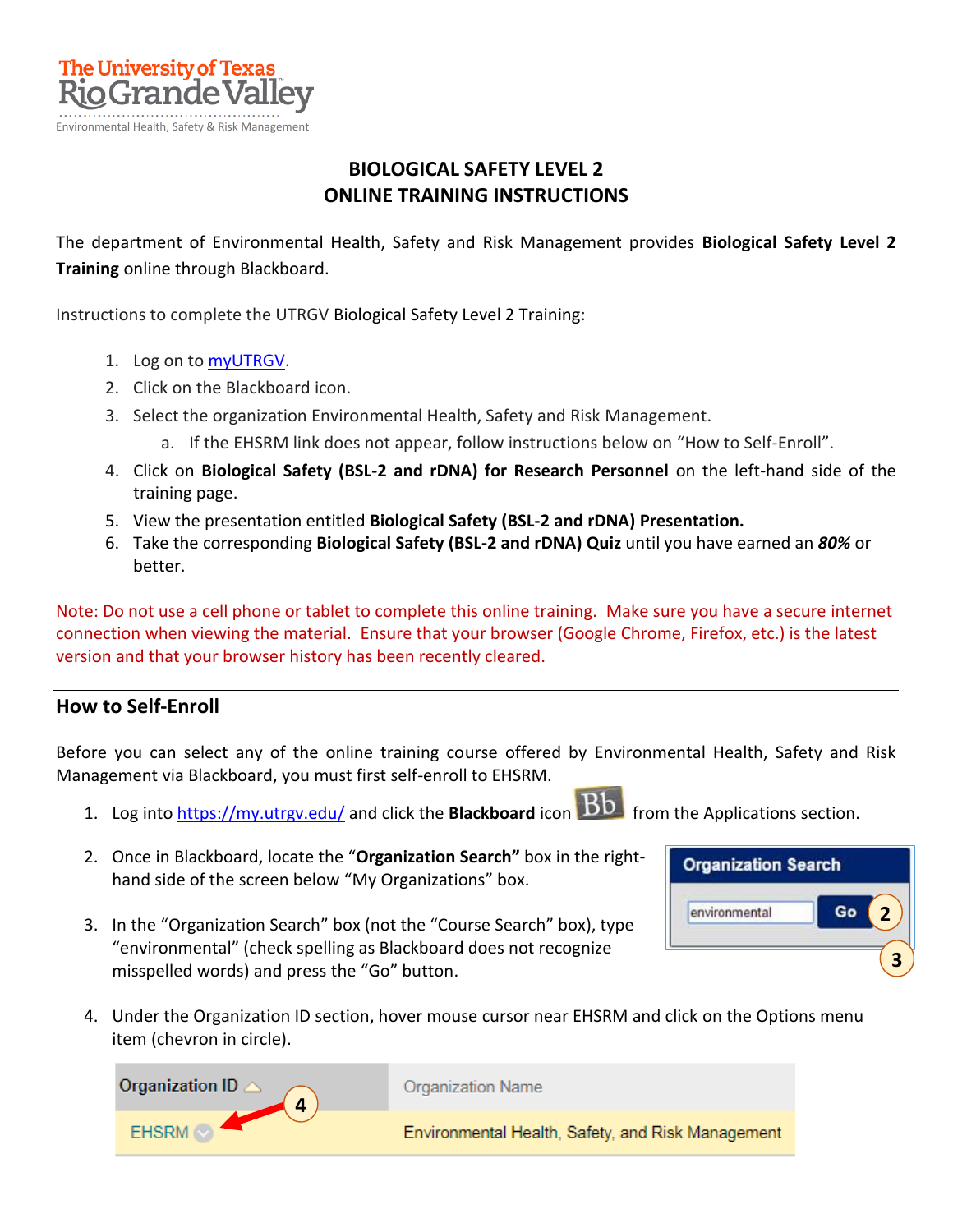

## **BIOLOGICAL SAFETY LEVEL 2 ONLINE TRAINING INSTRUCTIONS**

The department of Environmental Health, Safety and Risk Management provides **Biological Safety Level 2 Training** online through Blackboard.

Instructions to complete the UTRGV Biological Safety Level 2 Training:

- 1. Log on t[o myUTRGV.](https://my.utrgv.edu/)
- 2. Click on the Blackboard icon.
- 3. Select the organization Environmental Health, Safety and Risk Management.
	- a. If the EHSRM link does not appear, follow instructions below on "How to Self-Enroll".
- 4. Click on **Biological Safety (BSL-2 and rDNA) for Research Personnel** on the left-hand side of the training page.
- 5. View the presentation entitled **Biological Safety (BSL-2 and rDNA) Presentation.**
- 6. Take the corresponding **Biological Safety (BSL-2 and rDNA) Quiz** until you have earned an *80%* or better.

Note: Do not use a cell phone or tablet to complete this online training. Make sure you have a secure internet connection when viewing the material. Ensure that your browser (Google Chrome, Firefox, etc.) is the latest version and that your browser history has been recently cleared.

## **How to Self-Enroll**

Before you can select any of the online training course offered by Environmental Health, Safety and Risk Management via Blackboard, you must first self-enroll to EHSRM.

- 1. Log into **https://my.utrgv.edu/** and click the **Blackboard** icon **Bb** from the Applications section.
	-
- 2. Once in Blackboard, locate the "**Organization Search"** box in the righthand side of the screen below "My Organizations" box.
- 3. In the "Organization Search" box (not the "Course Search" box), type "environmental" (check spelling as Blackboard does not recognize misspelled words) and press the "Go" button.
- **Organization Search** Go environmental **2 3**
- 4. Under the Organization ID section, hover mouse cursor near EHSRM and click on the Options menu item (chevron in circle).

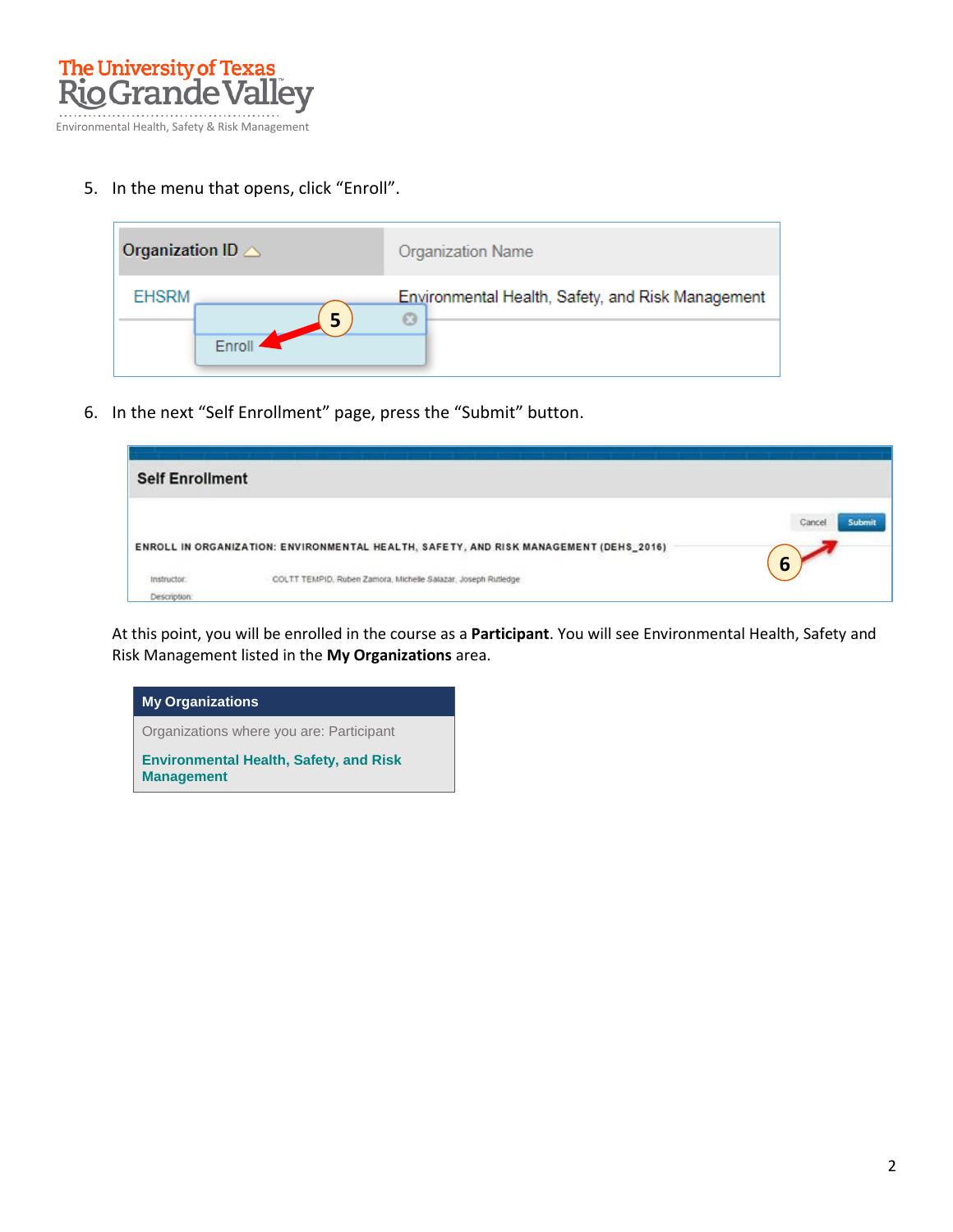

5. In the menu that opens, click "Enroll".

| Organization ID $\triangle$ | Organization Name                                 |
|-----------------------------|---------------------------------------------------|
| <b>EHSRM</b><br>5           | Environmental Health, Safety, and Risk Management |
|                             |                                                   |

6. In the next "Self Enrollment" page, press the "Submit" button.

| <b>Self Enrollment</b> |                                                                                       |                 |
|------------------------|---------------------------------------------------------------------------------------|-----------------|
|                        |                                                                                       | Cancel<br>Submi |
|                        | ENROLL IN ORGANIZATION: ENVIRONMENTAL HEALTH, SAFETY, AND RISK MANAGEMENT (DEHS_2016) |                 |
| Instructor:            | COLTT TEMPID, Ruben Zamora, Michelle Salazar, Joseph Rutledge                         | 6               |
| Description:           |                                                                                       |                 |

At this point, you will be enrolled in the course as a **Participant**. You will see Environmental Health, Safety and Risk Management listed in the **My Organizations** area.